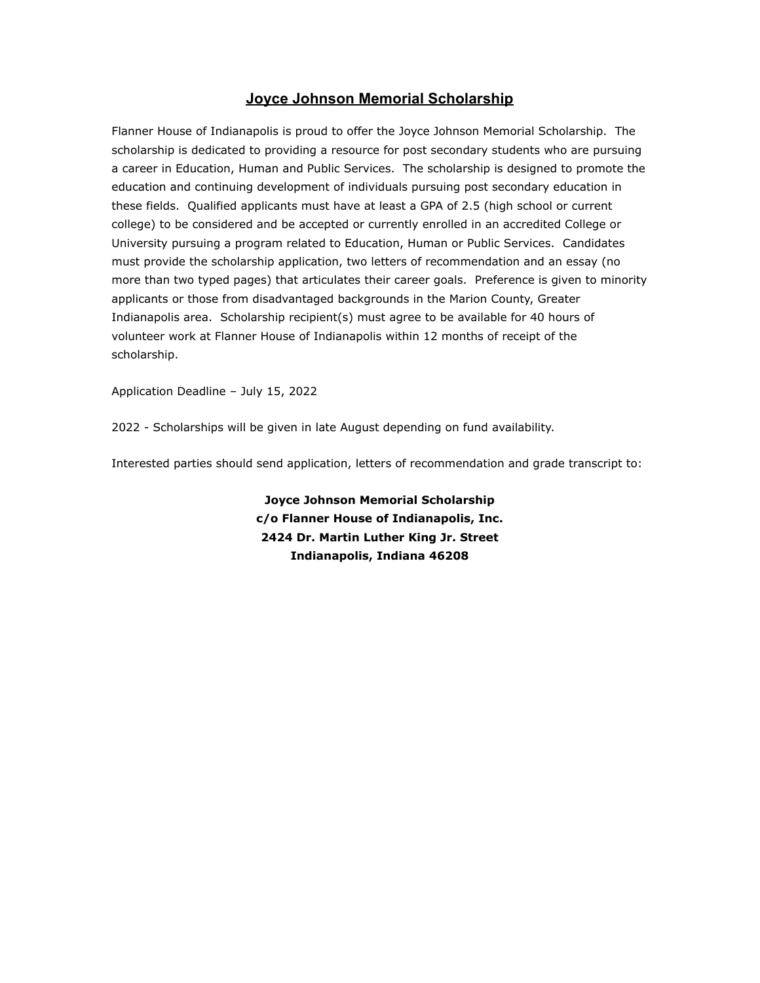## **Joyce Johnson Memorial Scholarship**

Flanner House of Indianapolis is proud to offer the Joyce Johnson Memorial Scholarship. The scholarship is dedicated to providing a resource for post secondary students who are pursuing a career in Education, Human and Public Services. The scholarship is designed to promote the education and continuing development of individuals pursuing post secondary education in these fields. Qualified applicants must have at least a GPA of 2.5 (high school or current college) to be considered and be accepted or currently enrolled in an accredited College or University pursuing a program related to Education, Human or Public Services. Candidates must provide the scholarship application, two letters of recommendation and an essay (no more than two typed pages) that articulates their career goals. Preference is given to minority applicants or those from disadvantaged backgrounds in the Marion County, Greater Indianapolis area. Scholarship recipient(s) must agree to be available for 40 hours of volunteer work at Flanner House of Indianapolis within 12 months of receipt of the scholarship.

Application Deadline – July 15, 2022

2022 - Scholarships will be given in late August depending on fund availability.

Interested parties should send application, letters of recommendation and grade transcript to:

**Joyce Johnson Memorial Scholarship c/o Flanner House of Indianapolis, Inc. 2424 Dr. Martin Luther King Jr. Street Indianapolis, Indiana 46208**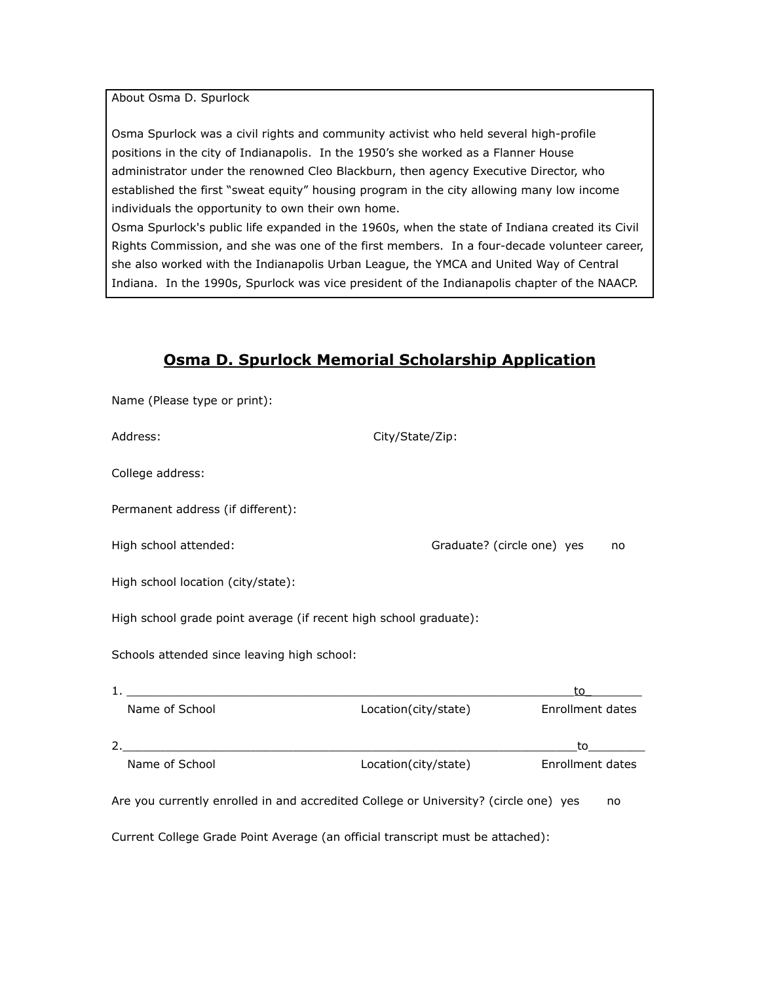About Osma D. Spurlock

Osma Spurlock was a civil rights and community activist who held several high-profile positions in the city of Indianapolis. In the 1950's she worked as a Flanner House administrator under the renowned Cleo Blackburn, then agency Executive Director, who established the first "sweat equity" housing program in the city allowing many low income individuals the opportunity to own their own home.

Osma Spurlock's public life expanded in the 1960s, when the state of Indiana created its Civil Rights Commission, and she was one of the first members. In a four-decade volunteer career, she also worked with the Indianapolis Urban League, the YMCA and United Way of Central Indiana. In the 1990s, Spurlock was vice president of the Indianapolis chapter of the NAACP.

## **Osma D. Spurlock Memorial Scholarship Application**

| Name (Please type or print):                                                               |                            |                                                                                                                                                                                                                                |
|--------------------------------------------------------------------------------------------|----------------------------|--------------------------------------------------------------------------------------------------------------------------------------------------------------------------------------------------------------------------------|
| Address:                                                                                   | City/State/Zip:            |                                                                                                                                                                                                                                |
| College address:                                                                           |                            |                                                                                                                                                                                                                                |
| Permanent address (if different):                                                          |                            |                                                                                                                                                                                                                                |
| High school attended:                                                                      | Graduate? (circle one) yes | no                                                                                                                                                                                                                             |
| High school location (city/state):                                                         |                            |                                                                                                                                                                                                                                |
| High school grade point average (if recent high school graduate):                          |                            |                                                                                                                                                                                                                                |
| Schools attended since leaving high school:                                                |                            |                                                                                                                                                                                                                                |
|                                                                                            |                            | to                                                                                                                                                                                                                             |
| Name of School                                                                             | Location(city/state)       | <b>Enrollment dates</b>                                                                                                                                                                                                        |
|                                                                                            |                            | to the control of the control of the control of the control of the control of the control of the control of the control of the control of the control of the control of the control of the control of the control of the contr |
| Name of School                                                                             | Location(city/state)       | Enrollment dates                                                                                                                                                                                                               |
| Are you currently enrolled in and accredited College or University? (circle one) yes<br>no |                            |                                                                                                                                                                                                                                |
| Current College Grade Point Average (an official transcript must be attached):             |                            |                                                                                                                                                                                                                                |